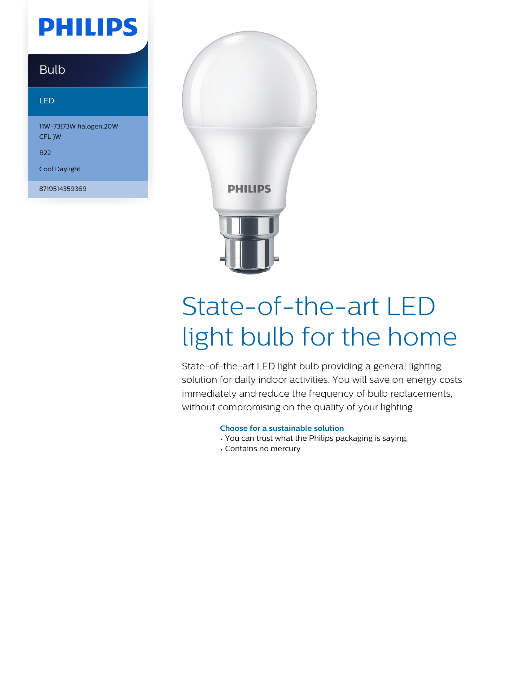## **PHILIPS**

### Bulb

#### LED

11W-73(73W halogen,20W CFL )W

B22

Cool Daylight

8719514359369



# State-of-the-art LED light bulb for the home

State-of-the-art LED light bulb providing a general lighting solution for daily indoor activities. You will save on energy costs immediately and reduce the frequency of bulb replacements, without compromising on the quality of your lighting.

#### **Choose for a sustainable solution**

- You can trust what the Philips packaging is saying.
- Contains no mercury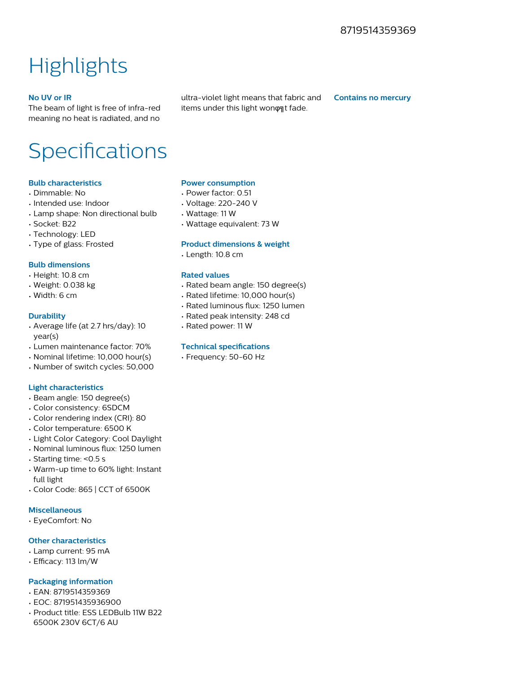### **Highlights**

#### **No UV or IR**

The beam of light is free of infra-red meaning no heat is radiated, and no ultra-violet light means that fabric and items under this light wonont fade.

**Contains no mercury**

### Specifications

#### **Bulb characteristics**

- Dimmable: No
- Intended use: Indoor
- Lamp shape: Non directional bulb
- Socket: B22
- Technology: LED
- Type of glass: Frosted

#### **Bulb dimensions**

- Height: 10.8 cm
- Weight: 0.038 kg
- Width: 6 cm

#### **Durability**

- Average life (at 2.7 hrs/day): 10 year(s)
- Lumen maintenance factor: 70%
- Nominal lifetime: 10,000 hour(s)
- Number of switch cycles: 50,000

#### **Light characteristics**

- Beam angle: 150 degree(s)
- Color consistency: 6SDCM
- Color rendering index (CRI): 80
- Color temperature: 6500 K
- Light Color Category: Cool Daylight
- Nominal luminous flux: 1250 lumen
- Starting time: <0.5 s
- Warm-up time to 60% light: Instant full light
- Color Code: 865 | CCT of 6500K

#### **Miscellaneous**

• EyeComfort: No

#### **Other characteristics**

- Lamp current: 95 mA
- Efficacy: 113 lm/W

#### **Packaging information**

- EAN: 8719514359369
- EOC: 871951435936900
- Product title: ESS LEDBulb 11W B22 6500K 230V 6CT/6 AU

#### **Power consumption**

- Power factor: 0.51
- Voltage: 220-240 V
- Wattage: 11 W
- Wattage equivalent: 73 W

#### **Product dimensions & weight**

• Length: 10.8 cm

#### **Rated values**

- Rated beam angle: 150 degree(s)
- Rated lifetime: 10,000 hour(s)
- Rated luminous flux: 1250 lumen
- Rated peak intensity: 248 cd
- Rated power: 11 W

#### **Technical specifications**

• Frequency: 50-60 Hz